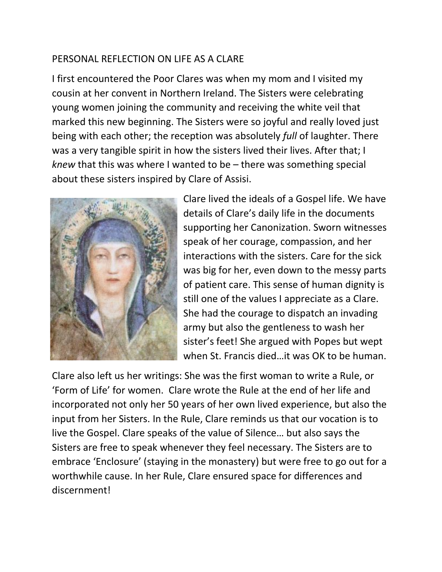## PERSONAL REFLECTION ON LIFE AS A CLARE

I first encountered the Poor Clares was when my mom and I visited my cousin at her convent in Northern Ireland. The Sisters were celebrating young women joining the community and receiving the white veil that marked this new beginning. The Sisters were so joyful and really loved just being with each other; the reception was absolutely *full* of laughter. There was a very tangible spirit in how the sisters lived their lives. After that; I *knew* that this was where I wanted to be – there was something special about these sisters inspired by Clare of Assisi.



Clare lived the ideals of a Gospel life. We have details of Clare's daily life in the documents supporting her Canonization. Sworn witnesses speak of her courage, compassion, and her interactions with the sisters. Care for the sick was big for her, even down to the messy parts of patient care. This sense of human dignity is still one of the values I appreciate as a Clare. She had the courage to dispatch an invading army but also the gentleness to wash her sister's feet! She argued with Popes but wept when St. Francis died…it was OK to be human.

Clare also left us her writings: She was the first woman to write a Rule, or 'Form of Life' for women. Clare wrote the Rule at the end of her life and incorporated not only her 50 years of her own lived experience, but also the input from her Sisters. In the Rule, Clare reminds us that our vocation is to live the Gospel. Clare speaks of the value of Silence… but also says the Sisters are free to speak whenever they feel necessary. The Sisters are to embrace 'Enclosure' (staying in the monastery) but were free to go out for a worthwhile cause. In her Rule, Clare ensured space for differences and discernment!